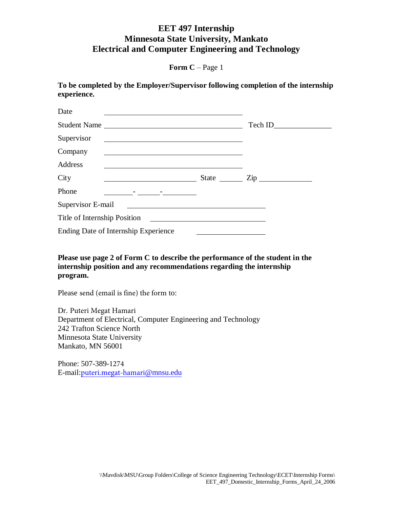**Form C** – Page 1

**To be completed by the Employer/Supervisor following completion of the internship experience.** 

| Date              |                                                                                                                      |         |
|-------------------|----------------------------------------------------------------------------------------------------------------------|---------|
|                   | Student Name                                                                                                         | Tech ID |
| Supervisor        | <u> Alexandria de la contrada de la contrada de la contrada de la contrada de la contrada de la contrada de la c</u> |         |
| Company           | <u> Alexandria de la contrada de la contrada de la contrada de la contrada de la contrada de la contrada de la c</u> |         |
| Address           |                                                                                                                      |         |
| City              | <u> 1990 - Johann Barbara, martin a</u>                                                                              |         |
| Phone             | <u> 1989 - Jan Barnett, francuski politik (</u>                                                                      |         |
| Supervisor E-mail |                                                                                                                      |         |
|                   |                                                                                                                      |         |
|                   | Ending Date of Internship Experience                                                                                 |         |

**Please use page 2 of Form C to describe the performance of the student in the internship position and any recommendations regarding the internship program.**

Please send (email is fine) the form to:

Dr. Puteri Megat Hamari Department of Electrical, Computer Engineering and Technology 242 Trafton Science North Minnesota State University Mankato, MN 56001

Phone: 507-389-1274 E-mail:[puteri.megat-hamari](mailto:vincent.winstead@mnsu.edu)@mnsu.edu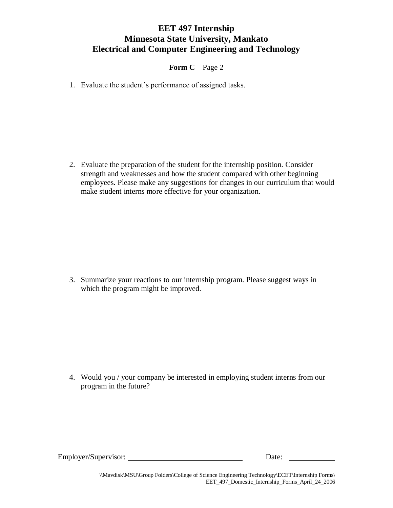**Form C** – Page 2

1. Evaluate the student's performance of assigned tasks.

2. Evaluate the preparation of the student for the internship position. Consider strength and weaknesses and how the student compared with other beginning employees. Please make any suggestions for changes in our curriculum that would make student interns more effective for your organization.

3. Summarize your reactions to our internship program. Please suggest ways in which the program might be improved.

4. Would you / your company be interested in employing student interns from our program in the future?

Employer/Supervisor: Date: Date:

\\Mavdisk\MSU\Group Folders\College of Science Engineering Technology\ECET\Internship Forms\ EET\_497\_Domestic\_Internship\_Forms\_April\_24\_2006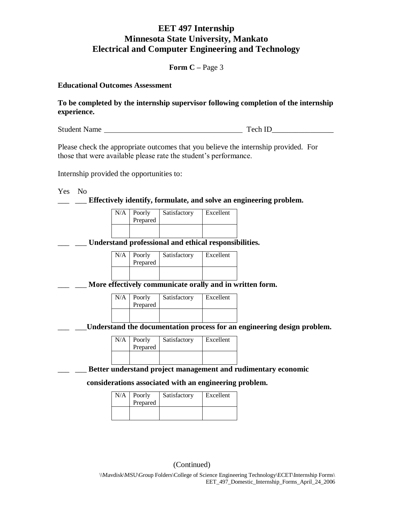**Form C –** Page 3

**Educational Outcomes Assessment**

**To be completed by the internship supervisor following completion of the internship experience.** 

Student Name Tech ID\_\_\_\_\_\_\_\_\_\_\_\_\_\_\_\_

Please check the appropriate outcomes that you believe the internship provided. For those that were available please rate the student's performance.

Internship provided the opportunities to:

Yes No

**Effectively identify, formulate, and solve an engineering problem.** 

| $N/A$ Poorly<br>Prepared | Satisfactory | Excellent |
|--------------------------|--------------|-----------|
|                          |              |           |

\_\_\_ \_\_\_ **Understand professional and ethical responsibilities.** 

| $N/A$ Poorly<br>Prepared | Satisfactory | Excellent |
|--------------------------|--------------|-----------|
|                          |              |           |

\_\_\_ \_\_\_ **More effectively communicate orally and in written form.** 

| N/A | Poorly<br>Prepared | Satisfactory | Excellent |
|-----|--------------------|--------------|-----------|
|     |                    |              |           |

Understand the documentation process for an engineering design problem.

| $N/A$ Poorly<br>Prepared | Satisfactory | Excellent |
|--------------------------|--------------|-----------|
|                          |              |           |

\_\_\_ \_\_\_ **Better understand project management and rudimentary economic** 

#### **considerations associated with an engineering problem.**

| N/A | Poorly<br>Prepared | Satisfactory | Excellent |
|-----|--------------------|--------------|-----------|
|     |                    |              |           |

(Continued)